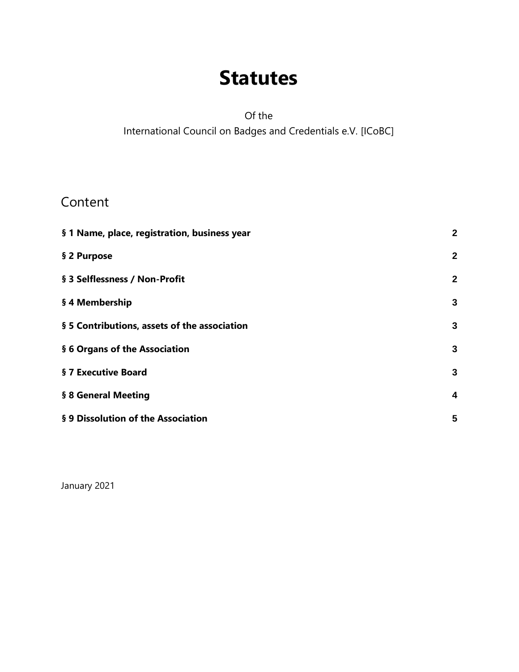# **Statutes**

Of the International Council on Badges and Credentials e.V. [ICoBC]

#### Content

| § 1 Name, place, registration, business year | $\mathbf{2}$   |
|----------------------------------------------|----------------|
| § 2 Purpose                                  | $\mathbf 2$    |
| § 3 Selflessness / Non-Profit                | $\overline{2}$ |
| § 4 Membership                               | 3              |
| § 5 Contributions, assets of the association | 3              |
| § 6 Organs of the Association                | 3              |
| § 7 Executive Board                          | 3              |
| § 8 General Meeting                          | 4              |
| § 9 Dissolution of the Association           | 5              |

January 2021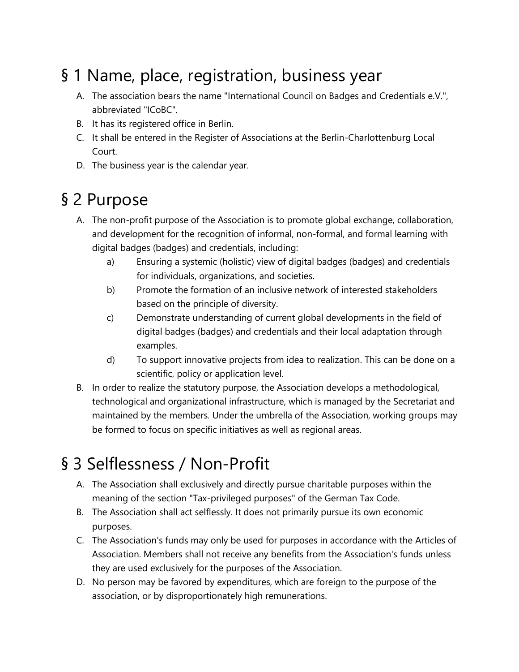## <span id="page-1-0"></span>§ 1 Name, place, registration, business year

- A. The association bears the name "International Council on Badges and Credentials e.V.", abbreviated "ICoBC".
- B. It has its registered office in Berlin.
- C. It shall be entered in the Register of Associations at the Berlin-Charlottenburg Local Court.
- D. The business year is the calendar year.

## <span id="page-1-1"></span>§ 2 Purpose

- A. The non-profit purpose of the Association is to promote global exchange, collaboration, and development for the recognition of informal, non-formal, and formal learning with digital badges (badges) and credentials, including:
	- a) Ensuring a systemic (holistic) view of digital badges (badges) and credentials for individuals, organizations, and societies.
	- b) Promote the formation of an inclusive network of interested stakeholders based on the principle of diversity.
	- c) Demonstrate understanding of current global developments in the field of digital badges (badges) and credentials and their local adaptation through examples.
	- d) To support innovative projects from idea to realization. This can be done on a scientific, policy or application level.
- B. In order to realize the statutory purpose, the Association develops a methodological, technological and organizational infrastructure, which is managed by the Secretariat and maintained by the members. Under the umbrella of the Association, working groups may be formed to focus on specific initiatives as well as regional areas.

## <span id="page-1-2"></span>§ 3 Selflessness / Non-Profit

- A. The Association shall exclusively and directly pursue charitable purposes within the meaning of the section "Tax-privileged purposes" of the German Tax Code.
- B. The Association shall act selflessly. It does not primarily pursue its own economic purposes.
- C. The Association's funds may only be used for purposes in accordance with the Articles of Association. Members shall not receive any benefits from the Association's funds unless they are used exclusively for the purposes of the Association.
- D. No person may be favored by expenditures, which are foreign to the purpose of the association, or by disproportionately high remunerations.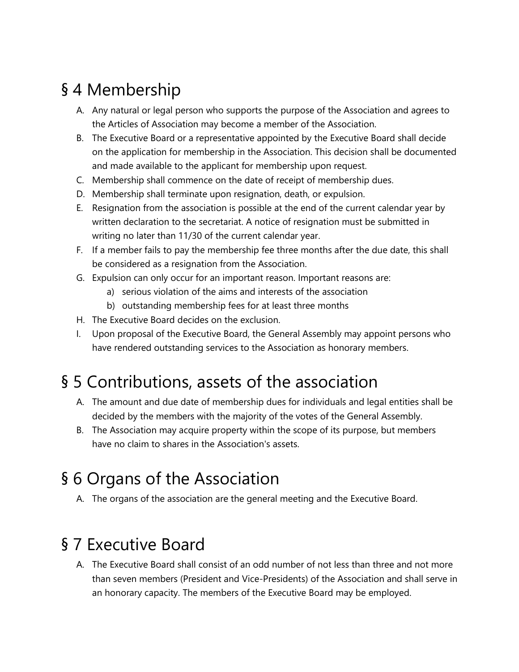## <span id="page-2-0"></span>§ 4 Membership

- A. Any natural or legal person who supports the purpose of the Association and agrees to the Articles of Association may become a member of the Association.
- B. The Executive Board or a representative appointed by the Executive Board shall decide on the application for membership in the Association. This decision shall be documented and made available to the applicant for membership upon request.
- C. Membership shall commence on the date of receipt of membership dues.
- D. Membership shall terminate upon resignation, death, or expulsion.
- E. Resignation from the association is possible at the end of the current calendar year by written declaration to the secretariat. A notice of resignation must be submitted in writing no later than 11/30 of the current calendar year.
- F. If a member fails to pay the membership fee three months after the due date, this shall be considered as a resignation from the Association.
- G. Expulsion can only occur for an important reason. Important reasons are:
	- a) serious violation of the aims and interests of the association
	- b) outstanding membership fees for at least three months
- H. The Executive Board decides on the exclusion.
- I. Upon proposal of the Executive Board, the General Assembly may appoint persons who have rendered outstanding services to the Association as honorary members.

### <span id="page-2-1"></span>§ 5 Contributions, assets of the association

- A. The amount and due date of membership dues for individuals and legal entities shall be decided by the members with the majority of the votes of the General Assembly.
- B. The Association may acquire property within the scope of its purpose, but members have no claim to shares in the Association's assets.

### <span id="page-2-2"></span>§ 6 Organs of the Association

A. The organs of the association are the general meeting and the Executive Board.

#### <span id="page-2-3"></span>§ 7 Executive Board

A. The Executive Board shall consist of an odd number of not less than three and not more than seven members (President and Vice-Presidents) of the Association and shall serve in an honorary capacity. The members of the Executive Board may be employed.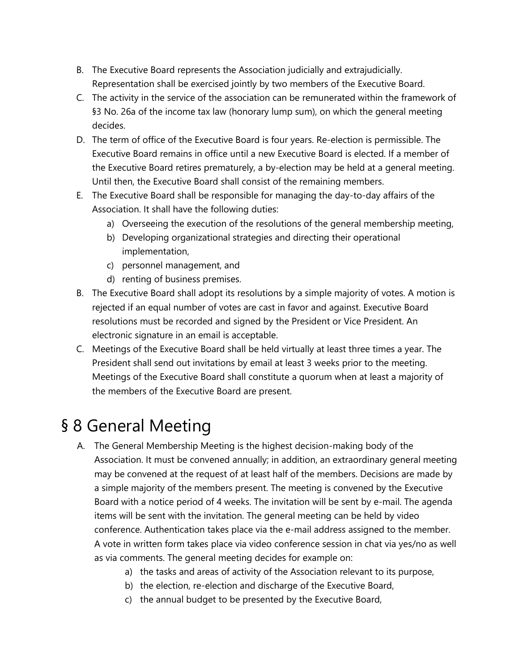- B. The Executive Board represents the Association judicially and extrajudicially. Representation shall be exercised jointly by two members of the Executive Board.
- C. The activity in the service of the association can be remunerated within the framework of §3 No. 26a of the income tax law (honorary lump sum), on which the general meeting decides.
- D. The term of office of the Executive Board is four years. Re-election is permissible. The Executive Board remains in office until a new Executive Board is elected. If a member of the Executive Board retires prematurely, a by-election may be held at a general meeting. Until then, the Executive Board shall consist of the remaining members.
- E. The Executive Board shall be responsible for managing the day-to-day affairs of the Association. It shall have the following duties:
	- a) Overseeing the execution of the resolutions of the general membership meeting,
	- b) Developing organizational strategies and directing their operational implementation,
	- c) personnel management, and
	- d) renting of business premises.
- B. The Executive Board shall adopt its resolutions by a simple majority of votes. A motion is rejected if an equal number of votes are cast in favor and against. Executive Board resolutions must be recorded and signed by the President or Vice President. An electronic signature in an email is acceptable.
- C. Meetings of the Executive Board shall be held virtually at least three times a year. The President shall send out invitations by email at least 3 weeks prior to the meeting. Meetings of the Executive Board shall constitute a quorum when at least a majority of the members of the Executive Board are present.

### <span id="page-3-0"></span>§ 8 General Meeting

- A. The General Membership Meeting is the highest decision-making body of the Association. It must be convened annually; in addition, an extraordinary general meeting may be convened at the request of at least half of the members. Decisions are made by a simple majority of the members present. The meeting is convened by the Executive Board with a notice period of 4 weeks. The invitation will be sent by e-mail. The agenda items will be sent with the invitation. The general meeting can be held by video conference. Authentication takes place via the e-mail address assigned to the member. A vote in written form takes place via video conference session in chat via yes/no as well as via comments. The general meeting decides for example on:
	- a) the tasks and areas of activity of the Association relevant to its purpose,
	- b) the election, re-election and discharge of the Executive Board,
	- c) the annual budget to be presented by the Executive Board,